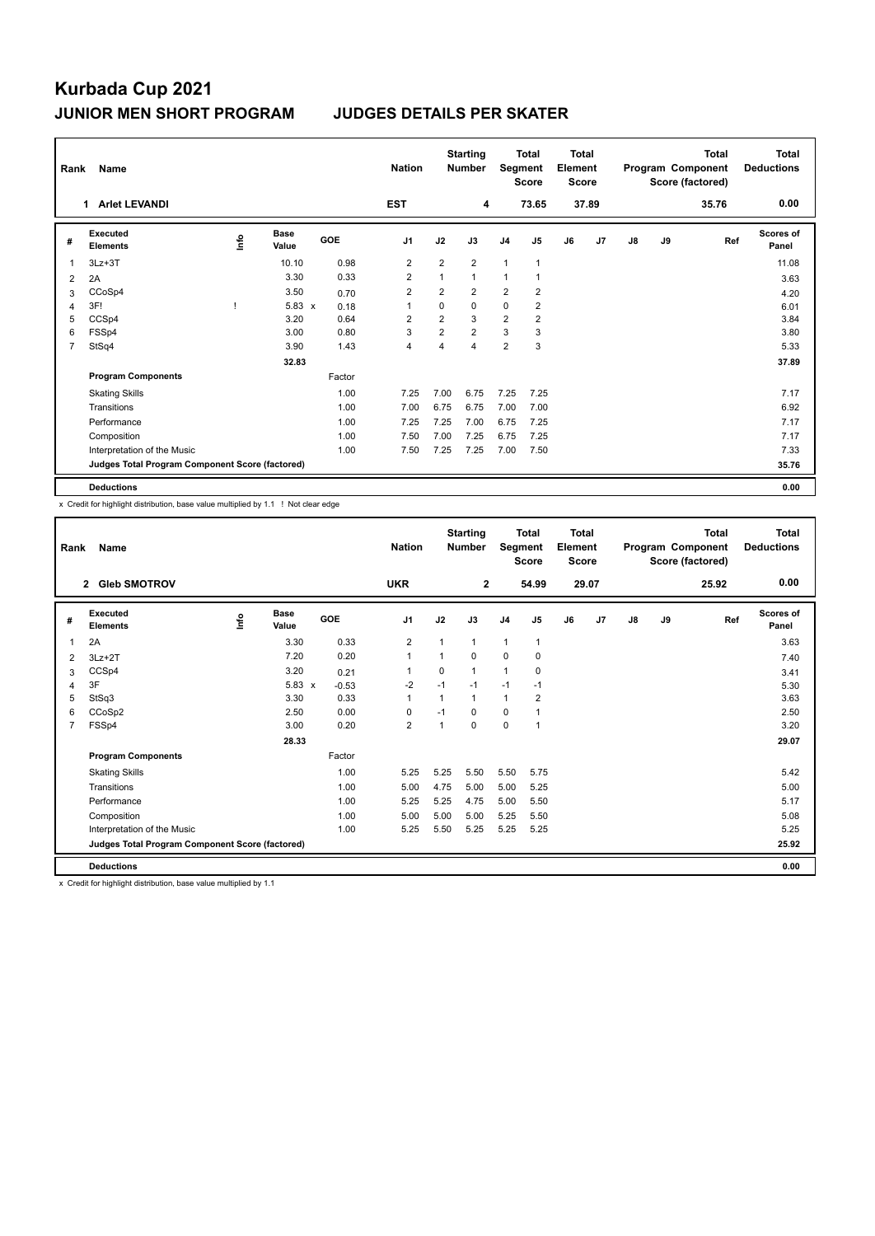# **Kurbada Cup 2021 JUNIOR MEN SHORT PROGRAM JUDGES DETAILS PER SKATER**

| Rank | Name                                            |      |                      |            | <b>Nation</b>           |                | <b>Starting</b><br><b>Number</b> | Segment        | <b>Total</b><br><b>Score</b> | Total<br>Element<br><b>Score</b> |       |               |    | <b>Total</b><br>Program Component<br>Score (factored) | <b>Total</b><br><b>Deductions</b> |
|------|-------------------------------------------------|------|----------------------|------------|-------------------------|----------------|----------------------------------|----------------|------------------------------|----------------------------------|-------|---------------|----|-------------------------------------------------------|-----------------------------------|
|      | <b>Arlet LEVANDI</b><br>1                       |      |                      |            | <b>EST</b>              |                | 4                                |                | 73.65                        |                                  | 37.89 |               |    | 35.76                                                 | 0.00                              |
| #    | <b>Executed</b><br><b>Elements</b>              | lnfo | <b>Base</b><br>Value | <b>GOE</b> | J <sub>1</sub>          | J2             | J3                               | J <sub>4</sub> | J <sub>5</sub>               | J6                               | J7    | $\mathsf{J}8$ | J9 | Ref                                                   | Scores of<br>Panel                |
| 1    | $3Lz + 3T$                                      |      | 10.10                | 0.98       | $\overline{2}$          | $\overline{2}$ | $\overline{2}$                   | $\mathbf{1}$   | $\mathbf{1}$                 |                                  |       |               |    |                                                       | 11.08                             |
| 2    | 2A                                              |      | 3.30                 | 0.33       | $\overline{\mathbf{c}}$ | 1              | $\mathbf{1}$                     | 1              |                              |                                  |       |               |    |                                                       | 3.63                              |
| 3    | CCoSp4                                          |      | 3.50                 | 0.70       | $\overline{2}$          | $\overline{2}$ | $\overline{2}$                   | $\overline{2}$ | $\overline{2}$               |                                  |       |               |    |                                                       | 4.20                              |
| 4    | 3F!                                             |      | $5.83 \times$        | 0.18       | 1                       | $\mathbf 0$    | $\Omega$                         | 0              | $\overline{\mathbf{c}}$      |                                  |       |               |    |                                                       | 6.01                              |
| 5    | CCSp4                                           |      | 3.20                 | 0.64       | 2                       | $\overline{2}$ | 3                                | $\overline{2}$ | $\overline{2}$               |                                  |       |               |    |                                                       | 3.84                              |
| 6    | FSSp4                                           |      | 3.00                 | 0.80       | 3                       | $\overline{2}$ | $\overline{2}$                   | 3              | 3                            |                                  |       |               |    |                                                       | 3.80                              |
| 7    | StSq4                                           |      | 3.90                 | 1.43       | 4                       | 4              | $\overline{4}$                   | $\overline{2}$ | 3                            |                                  |       |               |    |                                                       | 5.33                              |
|      |                                                 |      | 32.83                |            |                         |                |                                  |                |                              |                                  |       |               |    |                                                       | 37.89                             |
|      | <b>Program Components</b>                       |      |                      | Factor     |                         |                |                                  |                |                              |                                  |       |               |    |                                                       |                                   |
|      | <b>Skating Skills</b>                           |      |                      | 1.00       | 7.25                    | 7.00           | 6.75                             | 7.25           | 7.25                         |                                  |       |               |    |                                                       | 7.17                              |
|      | Transitions                                     |      |                      | 1.00       | 7.00                    | 6.75           | 6.75                             | 7.00           | 7.00                         |                                  |       |               |    |                                                       | 6.92                              |
|      | Performance                                     |      |                      | 1.00       | 7.25                    | 7.25           | 7.00                             | 6.75           | 7.25                         |                                  |       |               |    |                                                       | 7.17                              |
|      | Composition                                     |      |                      | 1.00       | 7.50                    | 7.00           | 7.25                             | 6.75           | 7.25                         |                                  |       |               |    |                                                       | 7.17                              |
|      | Interpretation of the Music                     |      |                      | 1.00       | 7.50                    | 7.25           | 7.25                             | 7.00           | 7.50                         |                                  |       |               |    |                                                       | 7.33                              |
|      | Judges Total Program Component Score (factored) |      |                      |            |                         |                |                                  |                |                              |                                  |       |               |    |                                                       | 35.76                             |
|      | <b>Deductions</b>                               |      |                      |            |                         |                |                                  |                |                              |                                  |       |               |    |                                                       | 0.00                              |

x Credit for highlight distribution, base value multiplied by 1.1 ! Not clear edge

| Rank           | Name                                            |      |                      | <b>Starting</b><br><b>Nation</b><br><b>Number</b> |                | <b>Total</b><br>Segment<br><b>Score</b> |                | <b>Total</b><br>Element<br><b>Score</b> |                | <b>Total</b><br>Program Component<br>Score (factored) |       |    | <b>Total</b><br><b>Deductions</b> |       |                    |
|----------------|-------------------------------------------------|------|----------------------|---------------------------------------------------|----------------|-----------------------------------------|----------------|-----------------------------------------|----------------|-------------------------------------------------------|-------|----|-----------------------------------|-------|--------------------|
|                | <b>Gleb SMOTROV</b><br>$\overline{2}$           |      |                      |                                                   | <b>UKR</b>     |                                         | $\overline{2}$ |                                         | 54.99          |                                                       | 29.07 |    |                                   | 25.92 | 0.00               |
| #              | Executed<br><b>Elements</b>                     | lnfo | <b>Base</b><br>Value | GOE                                               | J <sub>1</sub> | J2                                      | J3             | J <sub>4</sub>                          | J <sub>5</sub> | J6                                                    | J7    | J8 | J9                                | Ref   | Scores of<br>Panel |
| 1              | 2A                                              |      | 3.30                 | 0.33                                              | $\overline{2}$ | 1                                       | $\mathbf{1}$   | $\mathbf{1}$                            | $\mathbf{1}$   |                                                       |       |    |                                   |       | 3.63               |
| 2              | $3Lz + 2T$                                      |      | 7.20                 | 0.20                                              | $\mathbf{1}$   | 1                                       | 0              | $\mathbf 0$                             | 0              |                                                       |       |    |                                   |       | 7.40               |
| 3              | CCSp4                                           |      | 3.20                 | 0.21                                              | $\mathbf{1}$   | $\Omega$                                | 1              | $\mathbf{1}$                            | 0              |                                                       |       |    |                                   |       | 3.41               |
| 4              | 3F                                              |      | $5.83 \times$        | $-0.53$                                           | $-2$           | $-1$                                    | $-1$           | $-1$                                    | $-1$           |                                                       |       |    |                                   |       | 5.30               |
| 5              | StSq3                                           |      | 3.30                 | 0.33                                              | $\mathbf{1}$   | 1                                       | 1              | $\mathbf{1}$                            | 2              |                                                       |       |    |                                   |       | 3.63               |
| 6              | CCoSp2                                          |      | 2.50                 | 0.00                                              | 0              | $-1$                                    | $\Omega$       | $\mathbf 0$                             |                |                                                       |       |    |                                   |       | 2.50               |
| $\overline{7}$ | FSSp4                                           |      | 3.00                 | 0.20                                              | $\overline{2}$ | $\overline{1}$                          | $\Omega$       | 0                                       | 1              |                                                       |       |    |                                   |       | 3.20               |
|                |                                                 |      | 28.33                |                                                   |                |                                         |                |                                         |                |                                                       |       |    |                                   |       | 29.07              |
|                | <b>Program Components</b>                       |      |                      | Factor                                            |                |                                         |                |                                         |                |                                                       |       |    |                                   |       |                    |
|                | <b>Skating Skills</b>                           |      |                      | 1.00                                              | 5.25           | 5.25                                    | 5.50           | 5.50                                    | 5.75           |                                                       |       |    |                                   |       | 5.42               |
|                | Transitions                                     |      |                      | 1.00                                              | 5.00           | 4.75                                    | 5.00           | 5.00                                    | 5.25           |                                                       |       |    |                                   |       | 5.00               |
|                | Performance                                     |      |                      | 1.00                                              | 5.25           | 5.25                                    | 4.75           | 5.00                                    | 5.50           |                                                       |       |    |                                   |       | 5.17               |
|                | Composition                                     |      |                      | 1.00                                              | 5.00           | 5.00                                    | 5.00           | 5.25                                    | 5.50           |                                                       |       |    |                                   |       | 5.08               |
|                | Interpretation of the Music                     |      |                      | 1.00                                              | 5.25           | 5.50                                    | 5.25           | 5.25                                    | 5.25           |                                                       |       |    |                                   |       | 5.25               |
|                | Judges Total Program Component Score (factored) |      |                      |                                                   |                |                                         |                |                                         |                |                                                       |       |    |                                   |       | 25.92              |
|                | <b>Deductions</b>                               |      |                      |                                                   |                |                                         |                |                                         |                |                                                       |       |    |                                   |       | 0.00               |

x Credit for highlight distribution, base value multiplied by 1.1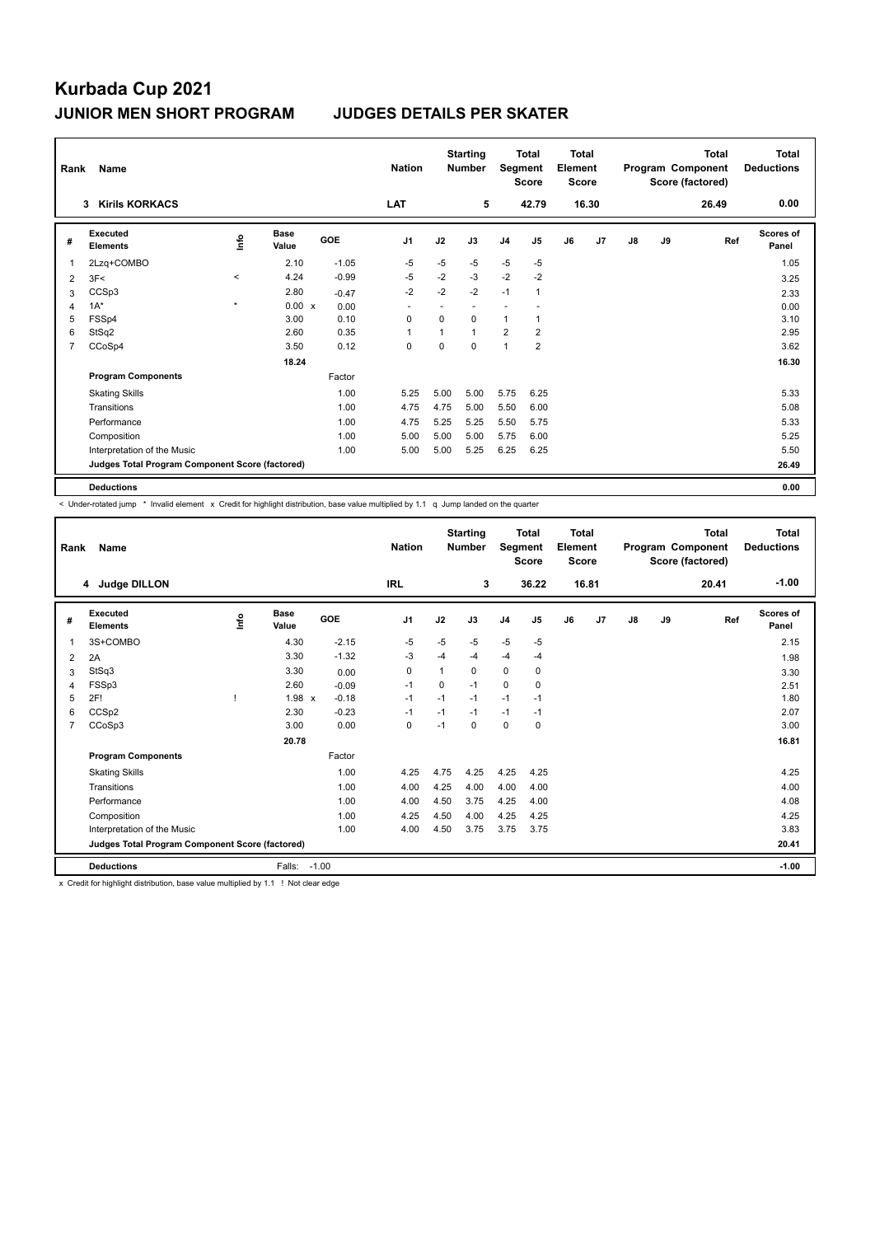# **Kurbada Cup 2021 JUNIOR MEN SHORT PROGRAM JUDGES DETAILS PER SKATER**

| Rank           | <b>Name</b>                                     |         |                      |            | <b>Nation</b>            |          | <b>Starting</b><br><b>Number</b> | Segment        | <b>Total</b><br><b>Score</b> | Total<br>Element<br><b>Score</b> |                |               |    | Total<br>Program Component<br>Score (factored) | <b>Total</b><br><b>Deductions</b> |
|----------------|-------------------------------------------------|---------|----------------------|------------|--------------------------|----------|----------------------------------|----------------|------------------------------|----------------------------------|----------------|---------------|----|------------------------------------------------|-----------------------------------|
|                | <b>Kirils KORKACS</b><br>3                      |         |                      |            | <b>LAT</b>               |          | 5                                |                | 42.79                        |                                  | 16.30          |               |    | 26.49                                          | 0.00                              |
| #              | Executed<br><b>Elements</b>                     | ۴       | <b>Base</b><br>Value | <b>GOE</b> | J <sub>1</sub>           | J2       | J3                               | J <sub>4</sub> | J <sub>5</sub>               | J6                               | J <sub>7</sub> | $\mathsf{J}8$ | J9 | Ref                                            | Scores of<br>Panel                |
| $\mathbf{1}$   | 2Lzq+COMBO                                      |         | 2.10                 | $-1.05$    | $-5$                     | $-5$     | $-5$                             | $-5$           | $-5$                         |                                  |                |               |    |                                                | 1.05                              |
| 2              | 3F<                                             | $\prec$ | 4.24                 | $-0.99$    | $-5$                     | $-2$     | $-3$                             | $-2$           | $-2$                         |                                  |                |               |    |                                                | 3.25                              |
| 3              | CCSp3                                           |         | 2.80                 | $-0.47$    | $-2$                     | $-2$     | $-2$                             | $-1$           | 1                            |                                  |                |               |    |                                                | 2.33                              |
| 4              | $1A^*$                                          | $\star$ | 0.00 x               | 0.00       | $\overline{\phantom{a}}$ |          |                                  |                |                              |                                  |                |               |    |                                                | 0.00                              |
| 5              | FSSp4                                           |         | 3.00                 | 0.10       | 0                        | $\Omega$ | 0                                | $\mathbf{1}$   | 1                            |                                  |                |               |    |                                                | 3.10                              |
| 6              | StSq2                                           |         | 2.60                 | 0.35       | $\overline{1}$           | 1        | 1                                | $\overline{2}$ | $\overline{\mathbf{c}}$      |                                  |                |               |    |                                                | 2.95                              |
| $\overline{7}$ | CCoSp4                                          |         | 3.50                 | 0.12       | $\mathbf 0$              | 0        | 0                                | $\overline{1}$ | $\overline{2}$               |                                  |                |               |    |                                                | 3.62                              |
|                |                                                 |         | 18.24                |            |                          |          |                                  |                |                              |                                  |                |               |    |                                                | 16.30                             |
|                | <b>Program Components</b>                       |         |                      | Factor     |                          |          |                                  |                |                              |                                  |                |               |    |                                                |                                   |
|                | <b>Skating Skills</b>                           |         |                      | 1.00       | 5.25                     | 5.00     | 5.00                             | 5.75           | 6.25                         |                                  |                |               |    |                                                | 5.33                              |
|                | Transitions                                     |         |                      | 1.00       | 4.75                     | 4.75     | 5.00                             | 5.50           | 6.00                         |                                  |                |               |    |                                                | 5.08                              |
|                | Performance                                     |         |                      | 1.00       | 4.75                     | 5.25     | 5.25                             | 5.50           | 5.75                         |                                  |                |               |    |                                                | 5.33                              |
|                | Composition                                     |         |                      | 1.00       | 5.00                     | 5.00     | 5.00                             | 5.75           | 6.00                         |                                  |                |               |    |                                                | 5.25                              |
|                | Interpretation of the Music                     |         |                      | 1.00       | 5.00                     | 5.00     | 5.25                             | 6.25           | 6.25                         |                                  |                |               |    |                                                | 5.50                              |
|                | Judges Total Program Component Score (factored) |         |                      |            |                          |          |                                  |                |                              |                                  |                |               |    |                                                | 26.49                             |
|                | <b>Deductions</b>                               |         |                      |            |                          |          |                                  |                |                              |                                  |                |               |    |                                                | 0.00                              |

< Under-rotated jump \* Invalid element x Credit for highlight distribution, base value multiplied by 1.1 q Jump landed on the quarter

| Rank           | Name                                            |      |                      |            | <b>Starting</b><br><b>Nation</b><br><b>Number</b> |             | <b>Total</b><br>Segment<br><b>Score</b> |                | <b>Total</b><br>Element<br><b>Score</b><br>16.81 |    | Program Component<br>Score (factored) |    | <b>Total</b><br>20.41 | <b>Total</b><br><b>Deductions</b><br>$-1.00$ |                    |
|----------------|-------------------------------------------------|------|----------------------|------------|---------------------------------------------------|-------------|-----------------------------------------|----------------|--------------------------------------------------|----|---------------------------------------|----|-----------------------|----------------------------------------------|--------------------|
|                | 4 Judge DILLON                                  |      |                      |            | <b>IRL</b>                                        |             | 3                                       |                | 36.22                                            |    |                                       |    |                       |                                              |                    |
| #              | Executed<br><b>Elements</b>                     | lnfo | <b>Base</b><br>Value | <b>GOE</b> | J <sub>1</sub>                                    | J2          | J3                                      | J <sub>4</sub> | J <sub>5</sub>                                   | J6 | J <sub>7</sub>                        | J8 | J9                    | Ref                                          | Scores of<br>Panel |
| $\mathbf{1}$   | 3S+COMBO                                        |      | 4.30                 | $-2.15$    | $-5$                                              | $-5$        | $-5$                                    | $-5$           | $-5$                                             |    |                                       |    |                       |                                              | 2.15               |
| 2              | 2A                                              |      | 3.30                 | $-1.32$    | -3                                                | $-4$        | $-4$                                    | $-4$           | $-4$                                             |    |                                       |    |                       |                                              | 1.98               |
| 3              | StSq3                                           |      | 3.30                 | 0.00       | 0                                                 | 1           | $\Omega$                                | $\Omega$       | 0                                                |    |                                       |    |                       |                                              | 3.30               |
| $\overline{4}$ | FSSp3                                           |      | 2.60                 | $-0.09$    | $-1$                                              | $\mathbf 0$ | $-1$                                    | 0              | $\pmb{0}$                                        |    |                                       |    |                       |                                              | 2.51               |
| 5              | 2F!                                             |      | 1.98 x               | $-0.18$    | $-1$                                              | $-1$        | $-1$                                    | $-1$           | $-1$                                             |    |                                       |    |                       |                                              | 1.80               |
| 6              | CCSp2                                           |      | 2.30                 | $-0.23$    | $-1$                                              | $-1$        | $-1$                                    | $-1$           | $-1$                                             |    |                                       |    |                       |                                              | 2.07               |
| $\overline{7}$ | CCoSp3                                          |      | 3.00                 | 0.00       | 0                                                 | $-1$        | $\Omega$                                | 0              | 0                                                |    |                                       |    |                       |                                              | 3.00               |
|                |                                                 |      | 20.78                |            |                                                   |             |                                         |                |                                                  |    |                                       |    |                       |                                              | 16.81              |
|                | <b>Program Components</b>                       |      |                      | Factor     |                                                   |             |                                         |                |                                                  |    |                                       |    |                       |                                              |                    |
|                | <b>Skating Skills</b>                           |      |                      | 1.00       | 4.25                                              | 4.75        | 4.25                                    | 4.25           | 4.25                                             |    |                                       |    |                       |                                              | 4.25               |
|                | Transitions                                     |      |                      | 1.00       | 4.00                                              | 4.25        | 4.00                                    | 4.00           | 4.00                                             |    |                                       |    |                       |                                              | 4.00               |
|                | Performance                                     |      |                      | 1.00       | 4.00                                              | 4.50        | 3.75                                    | 4.25           | 4.00                                             |    |                                       |    |                       |                                              | 4.08               |
|                | Composition                                     |      |                      | 1.00       | 4.25                                              | 4.50        | 4.00                                    | 4.25           | 4.25                                             |    |                                       |    |                       |                                              | 4.25               |
|                | Interpretation of the Music                     |      |                      | 1.00       | 4.00                                              | 4.50        | 3.75                                    | 3.75           | 3.75                                             |    |                                       |    |                       |                                              | 3.83               |
|                | Judges Total Program Component Score (factored) |      |                      |            |                                                   |             |                                         |                |                                                  |    |                                       |    |                       |                                              | 20.41              |
|                | <b>Deductions</b>                               |      | Falls:               | $-1.00$    |                                                   |             |                                         |                |                                                  |    |                                       |    |                       |                                              | $-1.00$            |

x Credit for highlight distribution, base value multiplied by 1.1 ! Not clear edge